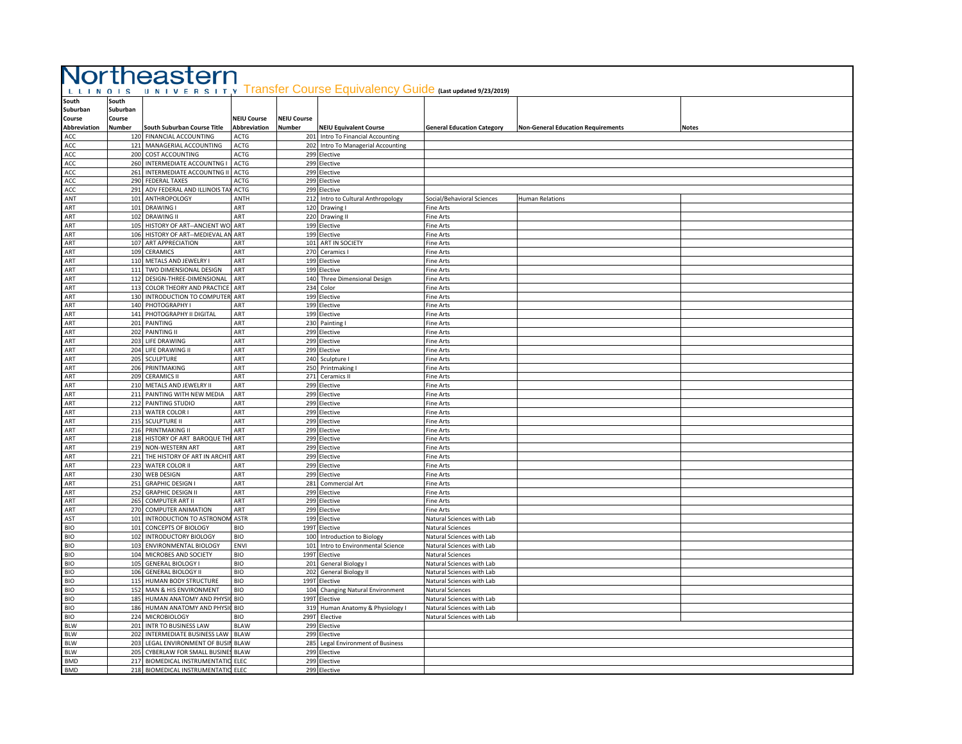|                          |          |                                                                            | Northeastern       |                    | UNIVERSITY Transfer Course Equivalency Guide (Last updated 9/23/2019) |                                   |                                           |              |
|--------------------------|----------|----------------------------------------------------------------------------|--------------------|--------------------|-----------------------------------------------------------------------|-----------------------------------|-------------------------------------------|--------------|
| L L I N O I S            | South    |                                                                            |                    |                    |                                                                       |                                   |                                           |              |
| South<br>Suburban        | Suburban |                                                                            |                    |                    |                                                                       |                                   |                                           |              |
| Course                   | Course   |                                                                            | <b>NEIU Course</b> | <b>NEIU Course</b> |                                                                       |                                   |                                           |              |
| Abbreviation             | Number   | South Suburban Course Title                                                | Abbreviation       | <b>Number</b>      | <b>NEIU Equivalent Course</b>                                         | <b>General Education Category</b> | <b>Non-General Education Requirements</b> | <b>Notes</b> |
| ACC                      |          | 120 FINANCIAL ACCOUNTING                                                   | ACTG               |                    | 201 Intro To Financial Accounting                                     |                                   |                                           |              |
| ACC                      |          | 121 MANAGERIAL ACCOUNTING                                                  | <b>ACTG</b>        |                    | 202 Intro To Managerial Accounting                                    |                                   |                                           |              |
| ACC                      |          | 200 COST ACCOUNTING                                                        | ACTG               |                    | 299 Elective                                                          |                                   |                                           |              |
| ACC                      |          | 260 INTERMEDIATE ACCOUNTNG I                                               | <b>ACTG</b>        |                    | 299 Elective                                                          |                                   |                                           |              |
| ACC                      |          | 261 INTERMEDIATE ACCOUNTNG II ACTG                                         |                    |                    | 299 Elective                                                          |                                   |                                           |              |
| ACC                      |          | 290 FEDERAL TAXES                                                          | <b>ACTG</b>        |                    | 299 Elective                                                          |                                   |                                           |              |
| ACC                      |          | 291 ADV FEDERAL AND ILLINOIS TA!                                           | <b>ACTG</b>        |                    | 299 Elective                                                          |                                   |                                           |              |
| ANT                      |          | 101 ANTHROPOLOGY                                                           | ANTH               | 212                | Intro to Cultural Anthropology                                        | Social/Behavioral Sciences        | Human Relations                           |              |
| ART                      |          | 101 DRAWING I                                                              | ART                |                    | 120 Drawing I                                                         | <b>Fine Arts</b>                  |                                           |              |
| ART                      |          | 102 DRAWING II                                                             | ART                |                    | 220 Drawing II                                                        | Fine Arts                         |                                           |              |
| ART<br>ART               |          | 105 HISTORY OF ART--ANCIENT WO ART<br>106 HISTORY OF ART--MEDIEVAL AN ART  |                    |                    | 199 Elective<br>199 Elective                                          | Fine Arts<br>Fine Arts            |                                           |              |
| ART                      |          | 107 ART APPRECIATION                                                       | ART                |                    | 101 ART IN SOCIETY                                                    | Fine Arts                         |                                           |              |
| ART                      |          | 109 CERAMICS                                                               | ART                |                    | 270 Ceramics I                                                        | <b>Fine Arts</b>                  |                                           |              |
| ART                      |          | 110 METALS AND JEWELRY I                                                   | ART                |                    | 199 Elective                                                          | Fine Arts                         |                                           |              |
| ART                      |          | 111 TWO DIMENSIONAL DESIGN                                                 | ART                |                    | 199 Elective                                                          | ine Arts                          |                                           |              |
| ART                      |          | 112 DESIGN-THREE-DIMENSIONAL                                               | ART                |                    | 140 Three Dimensional Design                                          | Fine Arts                         |                                           |              |
| ART                      |          | 113 COLOR THEORY AND PRACTICE ART                                          |                    |                    | 234 Color                                                             | Fine Arts                         |                                           |              |
| ART                      |          | 130 INTRODUCTION TO COMPUTER ART                                           |                    |                    | 199 Elective                                                          | Fine Arts                         |                                           |              |
| ART                      |          | 140 PHOTOGRAPHY I                                                          | ART                |                    | 199 Elective                                                          | Fine Arts                         |                                           |              |
| ART                      |          | 141 PHOTOGRAPHY II DIGITAL                                                 | ART                |                    | 199 Elective                                                          | <b>Fine Arts</b>                  |                                           |              |
| ART                      |          | 201 PAINTING                                                               | ART                | 230                | Painting                                                              | ine Arts                          |                                           |              |
| ART                      |          | 202 PAINTING II                                                            | ART                |                    | 299 Elective                                                          | ine Arts                          |                                           |              |
| ART                      |          | 203 LIFE DRAWING                                                           | ART                | 299                | Elective                                                              | ine Arts                          |                                           |              |
| ART                      |          | 204 LIFE DRAWING II                                                        | ART                |                    | 299 Elective                                                          | ine Arts                          |                                           |              |
| ART<br>ART               |          | 205 SCULPTURE<br>206 PRINTMAKING                                           | ART<br>ART         | 240                | Sculpture I                                                           | ine Arts<br>ine Arts              |                                           |              |
| ART                      |          | 209 CERAMICS II                                                            | ART                |                    | 250 Printmaking I<br>271 Ceramics II                                  | Fine Arts                         |                                           |              |
| ART                      |          | 210 METALS AND JEWELRY II                                                  | ART                |                    | 299 Elective                                                          | Fine Arts                         |                                           |              |
| ART                      |          | 211 PAINTING WITH NEW MEDIA                                                | ART                |                    | 299 Elective                                                          | ine Arts                          |                                           |              |
| ART                      |          | 212 PAINTING STUDIO                                                        | ART                |                    | 299 Elective                                                          | ine Arts                          |                                           |              |
| ART                      |          | 213 WATER COLOR I                                                          | ART                |                    | 299 Elective                                                          | <b>Fine Arts</b>                  |                                           |              |
| ART                      |          | 215 SCULPTURE II                                                           | ART                |                    | 299 Elective                                                          | ine Arts                          |                                           |              |
| ART                      |          | 216 PRINTMAKING II                                                         | ART                |                    | 299 Elective                                                          | Fine Arts                         |                                           |              |
| ART                      |          | 218 HISTORY OF ART BAROQUE THE ART                                         |                    |                    | 299 Elective                                                          | Fine Arts                         |                                           |              |
| ART                      |          | 219 NON-WESTERN ART                                                        | ART                |                    | 299 Elective                                                          | <b>Fine Arts</b>                  |                                           |              |
| ART                      |          | 221 THE HISTORY OF ART IN ARCHIT ART                                       |                    |                    | 299 Elective                                                          | <b>Fine Arts</b>                  |                                           |              |
| ART                      |          | 223 WATER COLOR II                                                         | ART                |                    | 299 Elective                                                          | Fine Arts                         |                                           |              |
| ART                      |          | 230 WEB DESIGN                                                             | ART                | 299                | <b>Elective</b>                                                       | ine Arts                          |                                           |              |
| ART                      |          | 251 GRAPHIC DESIGN I                                                       | ART                |                    | 281 Commercial Art                                                    | Fine Arts                         |                                           |              |
| ART<br>ART               |          | 252 GRAPHIC DESIGN II<br>265 COMPUTER ART II                               | ART<br>ART         |                    | 299 Elective<br>299 Elective                                          | ine Arts<br>ine Arts              |                                           |              |
| ART                      |          | 270 COMPUTER ANIMATION                                                     | ART                |                    | 299 Elective                                                          | ine Arts                          |                                           |              |
| AST                      |          | 101 INTRODUCTION TO ASTRONOM ASTR                                          |                    |                    | 199 Elective                                                          | Natural Sciences with Lab         |                                           |              |
| <b>BIO</b>               |          | 101 CONCEPTS OF BIOLOGY                                                    | BIO                |                    | 199T Elective                                                         | <b>Natural Sciences</b>           |                                           |              |
| <b>BIO</b>               |          | 102 INTRODUCTORY BIOLOGY                                                   | <b>BIO</b>         |                    | 100 Introduction to Biology                                           | Natural Sciences with Lab         |                                           |              |
| <b>BIO</b>               |          | 103 ENVIRONMENTAL BIOLOGY                                                  | ENVI               | 101                | Intro to Environmental Science                                        | Natural Sciences with Lab         |                                           |              |
| <b>BIO</b>               |          | 104 MICROBES AND SOCIETY                                                   | <b>BIO</b>         |                    | 199T Elective                                                         | Natural Sciences                  |                                           |              |
| <b>BIO</b>               |          | 105 GENERAL BIOLOGY I                                                      | BIO                |                    | 201 General Biology I                                                 | Natural Sciences with Lab         |                                           |              |
| <b>BIO</b>               |          | 106 GENERAL BIOLOGY II                                                     | <b>BIO</b>         |                    | 202 General Biology II                                                | Natural Sciences with Lab         |                                           |              |
| BIO                      |          | 115 HUMAN BODY STRUCTURE                                                   | <b>BIO</b>         |                    | 199T Elective                                                         | Natural Sciences with Lab         |                                           |              |
| <b>BIO</b>               |          | 152 MAN & HIS ENVIRONMENT                                                  | <b>BIO</b>         | 104                | Changing Natural Environment                                          | Natural Sciences                  |                                           |              |
| <b>BIO</b>               |          | 185 HUMAN ANATOMY AND PHYSIC BIO                                           |                    |                    | 199T Elective                                                         | Natural Sciences with Lab         |                                           |              |
| <b>BIO</b>               |          | 186 HUMAN ANATOMY AND PHYSI                                                | <b>BIO</b>         | 319                | Human Anatomy & Physiology I                                          | Natural Sciences with Lab         |                                           |              |
| <b>BIO</b>               |          | 224 MICROBIOLOGY                                                           | <b>BIO</b>         | 299T               | Elective                                                              | Natural Sciences with Lab         |                                           |              |
| <b>BLW</b>               |          | 201 INTR TO BUSINESS LAW                                                   | <b>BLAW</b>        | 299                | <b>Elective</b>                                                       |                                   |                                           |              |
| <b>BLW</b>               |          | 202 INTERMEDIATE BUSINESS LAW                                              | <b>BLAW</b>        |                    | 299 Elective                                                          |                                   |                                           |              |
| <b>BLW</b><br><b>BLW</b> |          | 203 LEGAL ENVIRONMENT OF BUSII BLAW<br>205 CYBERLAW FOR SMALL BUSINES BLAW |                    | 285                | Legal Environment of Business<br>299 Elective                         |                                   |                                           |              |
| <b>BMD</b>               |          | 217 BIOMEDICAL INSTRUMENTATIC ELEC                                         |                    |                    | 299 Elective                                                          |                                   |                                           |              |
| <b>BMD</b>               |          | 218 BIOMEDICAL INSTRUMENTATIC ELEC                                         |                    |                    | 299 Elective                                                          |                                   |                                           |              |
|                          |          |                                                                            |                    |                    |                                                                       |                                   |                                           |              |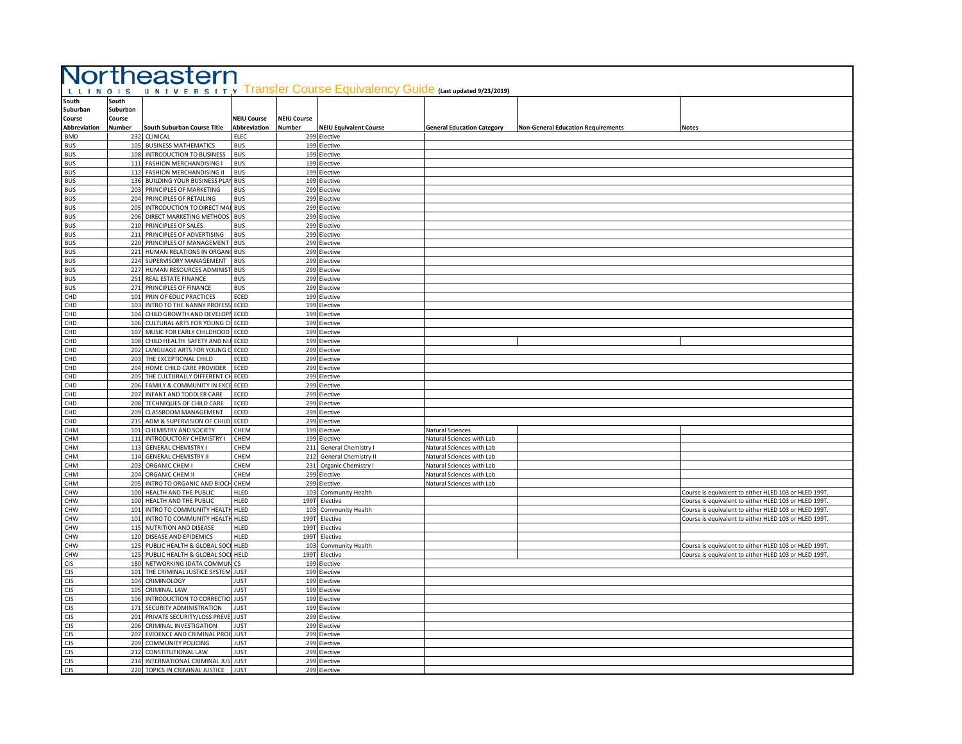|                             | Northeastern                |                                                                       |                             |                    |                                                                       |                                                        |                                           |                                                      |  |  |
|-----------------------------|-----------------------------|-----------------------------------------------------------------------|-----------------------------|--------------------|-----------------------------------------------------------------------|--------------------------------------------------------|-------------------------------------------|------------------------------------------------------|--|--|
| LLINOIS                     |                             |                                                                       |                             |                    | UNIVERSITY Transfer Course Equivalency Guide (Last updated 9/23/2019) |                                                        |                                           |                                                      |  |  |
| South<br>Suburban<br>Course | South<br>Suburban<br>Course |                                                                       | <b>NEIU Course</b>          | <b>NEIU Course</b> |                                                                       |                                                        |                                           |                                                      |  |  |
| Abbreviation<br><b>BMD</b>  | <b>Number</b>               | South Suburban Course Title<br>232 CLINICAL                           | Abbreviation<br><b>ELEC</b> | <b>Number</b>      | <b>NEIU Equivalent Course</b><br>299 Elective                         | <b>General Education Category</b>                      | <b>Non-General Education Requirements</b> | Notes                                                |  |  |
| <b>BUS</b>                  |                             | 105 BUSINESS MATHEMATICS                                              | <b>BUS</b>                  | 199                | Elective                                                              |                                                        |                                           |                                                      |  |  |
| <b>BUS</b>                  |                             | 108 INTRODUCTION TO BUSINESS                                          | <b>BUS</b>                  |                    | 199 Elective                                                          |                                                        |                                           |                                                      |  |  |
| <b>BUS</b>                  |                             | 111 FASHION MERCHANDISING I                                           | <b>BUS</b>                  |                    | 199 Elective                                                          |                                                        |                                           |                                                      |  |  |
| <b>BUS</b><br><b>BUS</b>    |                             | 112 FASHION MERCHANDISING II<br>136 BUILDING YOUR BUSINESS PLAI       | <b>BUS</b><br><b>BUS</b>    | 199                | 199 Elective<br>Elective                                              |                                                        |                                           |                                                      |  |  |
| <b>BUS</b>                  |                             | 203 PRINCIPLES OF MARKETING                                           | <b>BUS</b>                  |                    | 299 Elective                                                          |                                                        |                                           |                                                      |  |  |
| <b>BUS</b>                  |                             | 204 PRINCIPLES OF RETAILING                                           | <b>BUS</b>                  |                    | 299 Elective                                                          |                                                        |                                           |                                                      |  |  |
| <b>BUS</b>                  |                             | 205 INTRODUCTION TO DIRECT MA                                         | <b>BUS</b>                  |                    | 299 Elective                                                          |                                                        |                                           |                                                      |  |  |
| <b>BUS</b><br><b>BUS</b>    |                             | 206 DIRECT MARKETING METHODS<br>210 PRINCIPLES OF SALES               | <b>BUS</b><br><b>BUS</b>    |                    | 299 Elective<br>299 Elective                                          |                                                        |                                           |                                                      |  |  |
| <b>BUS</b>                  |                             | 211 PRINCIPLES OF ADVERTISING                                         | <b>BUS</b>                  |                    | 299 Elective                                                          |                                                        |                                           |                                                      |  |  |
| <b>BUS</b>                  |                             | 220 PRINCIPLES OF MANAGEMENT                                          | <b>BUS</b>                  | 299                | Elective                                                              |                                                        |                                           |                                                      |  |  |
| <b>BUS</b>                  | 221                         | HUMAN RELATIONS IN ORGAN                                              | <b>BUS</b>                  | 299                | <b>lective</b>                                                        |                                                        |                                           |                                                      |  |  |
| <b>BUS</b>                  |                             | 224 SUPERVISORY MANAGEMENT                                            | <b>BUS</b>                  |                    | 299 Elective                                                          |                                                        |                                           |                                                      |  |  |
| <b>BUS</b><br><b>BUS</b>    |                             | 227 HUMAN RESOURCES ADMINIST<br>251 REAL ESTATE FINANCE               | <b>BUS</b><br><b>BUS</b>    |                    | 299 Elective<br>299 Elective                                          |                                                        |                                           |                                                      |  |  |
| <b>BUS</b>                  |                             | 271 PRINCIPLES OF FINANCE                                             | <b>BUS</b>                  |                    | 299 Elective                                                          |                                                        |                                           |                                                      |  |  |
| CHD                         |                             | 101 PRIN OF EDUC PRACTICES                                            | ECED                        |                    | 199 Elective                                                          |                                                        |                                           |                                                      |  |  |
| CHD                         |                             | 103 INTRO TO THE NANNY PROFES!                                        | ECED                        |                    | 199 Elective                                                          |                                                        |                                           |                                                      |  |  |
| CHD<br>CHD                  |                             | 104 CHILD GROWTH AND DEVELOPI<br>106 CULTURAL ARTS FOR YOUNG CH       | ECED<br>ECED                | 199                | 199 Elective<br>Elective                                              |                                                        |                                           |                                                      |  |  |
| CHD                         |                             | 107 MUSIC FOR EARLY CHILDHOOD                                         | ECED                        | 199                | Elective                                                              |                                                        |                                           |                                                      |  |  |
| CHD                         |                             | 108 CHILD HEALTH SAFETY AND NI                                        | ECED                        | 199                | Elective                                                              |                                                        |                                           |                                                      |  |  |
| CHD                         |                             | 202 LANGUAGE ARTS FOR YOUNG                                           | ECED                        | 299                | Elective                                                              |                                                        |                                           |                                                      |  |  |
| CHD                         |                             | 203 THE EXCEPTIONAL CHILD                                             | ECED                        | 299                | Elective                                                              |                                                        |                                           |                                                      |  |  |
| CHD<br>CHD                  |                             | 204 HOME CHILD CARE PROVIDER<br>205 THE CULTURALLY DIFFERENT CH       | ECED<br>ECED                | 299<br>299         | Elective<br>Elective                                                  |                                                        |                                           |                                                      |  |  |
| CHD                         |                             | 206 FAMILY & COMMUNITY IN EXC                                         | ECED                        |                    | 299 Elective                                                          |                                                        |                                           |                                                      |  |  |
| CHD                         |                             | 207 INFANT AND TODDLER CARE                                           | ECED                        |                    | 299 Elective                                                          |                                                        |                                           |                                                      |  |  |
| CHD                         |                             | 208 TECHNIQUES OF CHILD CARE                                          | ECED                        |                    | 299 Elective                                                          |                                                        |                                           |                                                      |  |  |
| CHD                         |                             | 209 CLASSROOM MANAGEMENT                                              | ECED                        |                    | 299 Elective                                                          |                                                        |                                           |                                                      |  |  |
| CHD<br>CHM                  |                             | 215 ADM & SUPERVISION OF CHILD<br>101 CHEMISTRY AND SOCIETY           | ECED<br>CHEM                | 199                | 299 Elective<br>Elective                                              | Natural Sciences                                       |                                           |                                                      |  |  |
| <b>CHM</b>                  | 111                         | <b>INTRODUCTORY CHEMISTRY I</b>                                       | CHEM                        | 199                | <b>lective</b>                                                        | Natural Sciences with Lab                              |                                           |                                                      |  |  |
| CHM                         |                             | 113 GENERAL CHEMISTRY I                                               | CHEM                        |                    | 211 General Chemistry I                                               | Natural Sciences with Lab                              |                                           |                                                      |  |  |
| CHM                         |                             | 114 GENERAL CHEMISTRY II                                              | CHEM                        |                    | 212 General Chemistry II                                              | Natural Sciences with Lab                              |                                           |                                                      |  |  |
| CHM<br>CHM                  |                             | 203 ORGANIC CHEM I<br>204 ORGANIC CHEM II                             | CHEM<br>CHEM                | 299                | 231 Organic Chemistry I<br>Elective                                   | Natural Sciences with Lab<br>Natural Sciences with Lab |                                           |                                                      |  |  |
| CHM                         |                             | 205 INTRO TO ORGANIC AND BIOC                                         | CHEM                        |                    | 299 Elective                                                          | Natural Sciences with Lab                              |                                           |                                                      |  |  |
| CHW                         |                             | 100 HEALTH AND THE PUBLIC                                             | <b>HLED</b>                 | 103                | Community Health                                                      |                                                        |                                           | Course is equivalent to either HLED 103 or HLED 199T |  |  |
| CHW                         |                             | 100 HEALTH AND THE PUBLIC                                             | HLED                        |                    | 199T Elective                                                         |                                                        |                                           | Course is equivalent to either HLED 103 or HLED 199T |  |  |
| CHW<br>CHW                  |                             | 101 INTRO TO COMMUNITY HEALTH<br>101 INTRO TO COMMUNITY HEALTH        | HLED<br>HLED                | 103<br>199T        | Community Health<br>Elective                                          |                                                        |                                           | Course is equivalent to either HLED 103 or HLED 199T |  |  |
| <b>CHW</b>                  |                             | 115 NUTRITION AND DISEASE                                             | HLED                        | 199T               | Elective                                                              |                                                        |                                           | Course is equivalent to either HLED 103 or HLED 199T |  |  |
| CHW                         |                             | 120 DISEASE AND EPIDEMICS                                             | HLED                        | 199T               | Elective                                                              |                                                        |                                           |                                                      |  |  |
| CHW                         |                             | 125 PUBLIC HEALTH & GLOBAL SOC                                        | HLED                        | 103                | Community Health                                                      |                                                        |                                           | Course is equivalent to either HLED 103 or HLED 199T |  |  |
| CHW                         |                             | 125 PUBLIC HEALTH & GLOBAL SOC                                        | <b>HELD</b>                 | 199T               | Elective                                                              |                                                        |                                           | Course is equivalent to either HLED 103 or HLED 199T |  |  |
| <b>CIS</b><br>CJS           |                             | 180 NETWORKING (DATA COMMUN<br>101 THE CRIMINAL JUSTICE SYSTEM        | CS<br><b>JUST</b>           | 199<br>199         | Elective<br>Elective                                                  |                                                        |                                           |                                                      |  |  |
| CJS                         |                             | 104 CRIMINOLOGY                                                       | <b>JUST</b>                 | 199                | lective                                                               |                                                        |                                           |                                                      |  |  |
| CJS                         |                             | 105 CRIMINAL LAW                                                      | <b>JUST</b>                 |                    | 199 Elective                                                          |                                                        |                                           |                                                      |  |  |
| CJS                         |                             | 106 INTRODUCTION TO CORRECTIO                                         | <b>JUST</b>                 |                    | 199 Elective                                                          |                                                        |                                           |                                                      |  |  |
| <b>CJS</b>                  |                             | 171 SECURITY ADMINISTRATION                                           | <b>JUST</b>                 |                    | 199 Elective                                                          |                                                        |                                           |                                                      |  |  |
| CJS<br>CJS                  |                             | 201 PRIVATE SECURITY/LOSS PREVE<br>206 CRIMINAL INVESTIGATION         | <b>JUST</b><br><b>JUST</b>  | 299<br>299         | Elective<br>Elective                                                  |                                                        |                                           |                                                      |  |  |
| <b>CJS</b>                  |                             | 207 EVIDENCE AND CRIMINAL PRO                                         | <b>JUST</b>                 |                    | 299 Elective                                                          |                                                        |                                           |                                                      |  |  |
| <b>CJS</b>                  |                             | 209 COMMUNITY POLICING                                                | <b>JUST</b>                 |                    | 299 Elective                                                          |                                                        |                                           |                                                      |  |  |
| <b>CJS</b>                  |                             | 212 CONSTITUTIONAL LAW                                                | <b>JUST</b>                 |                    | 299 Elective                                                          |                                                        |                                           |                                                      |  |  |
| <b>CJS</b>                  |                             | 214 INTERNATIONAL CRIMINAL JUS<br>220 TOPICS IN CRIMINAL JUSTICE JUST | <b>JUST</b>                 |                    | 299 Elective                                                          |                                                        |                                           |                                                      |  |  |
| <b>CJS</b>                  |                             |                                                                       |                             |                    | 299 Elective                                                          |                                                        |                                           |                                                      |  |  |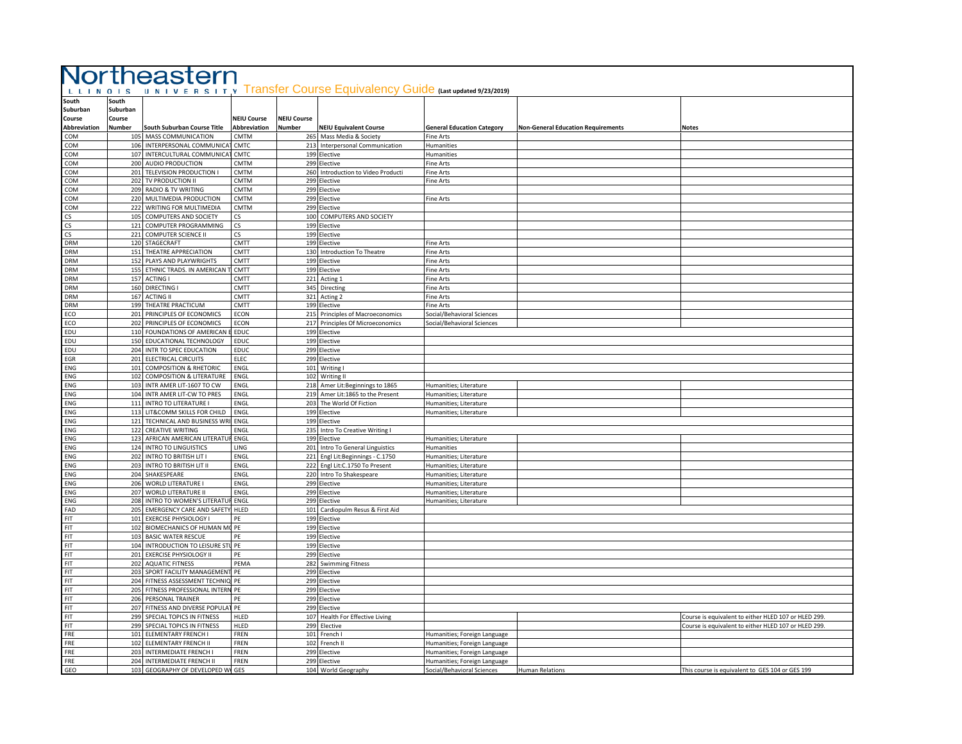| L L I N O I S       |          |                                     | Northeastern             |                    | UNIVERSITY Transfer Course Equivalency Guide (Last updated 9/23/2019) |                                                  |                                           |                                                      |
|---------------------|----------|-------------------------------------|--------------------------|--------------------|-----------------------------------------------------------------------|--------------------------------------------------|-------------------------------------------|------------------------------------------------------|
| South               | South    |                                     |                          |                    |                                                                       |                                                  |                                           |                                                      |
| Suburban            | Suburban |                                     |                          |                    |                                                                       |                                                  |                                           |                                                      |
| Course              | Course   |                                     | <b>NEIU Course</b>       | <b>NEIU Course</b> |                                                                       |                                                  |                                           |                                                      |
| <b>Abbreviation</b> | Number   | South Suburban Course Title         | Abbreviation             | Number             | <b>NEIU Equivalent Course</b>                                         | <b>General Education Category</b>                | <b>Non-General Education Requirements</b> | Notes                                                |
| COM                 |          | 105 MASS COMMUNICATION              | CMTM                     |                    | 265 Mass Media & Society                                              | Fine Arts                                        |                                           |                                                      |
| COM                 |          | 106 INTERPERSONAL COMMUNICA         | CMTC                     |                    | 213 Interpersonal Communication                                       | Humanities                                       |                                           |                                                      |
| COM                 |          | 107 INTERCULTURAL COMMUNICAT        | CMTC                     |                    | 199 Elective                                                          | Humanities                                       |                                           |                                                      |
|                     |          | 200 AUDIO PRODUCTION                | CMTM                     |                    | 299 Elective                                                          | <b>Fine Arts</b>                                 |                                           |                                                      |
| COM                 |          | 201 TELEVISION PRODUCTION I         | CMTM                     |                    | 260 Introduction to Video Producti                                    |                                                  |                                           |                                                      |
| COM                 |          |                                     |                          |                    |                                                                       | <b>Fine Arts</b>                                 |                                           |                                                      |
| COM                 |          | 202 TV PRODUCTION II                | CMTM<br><b>CMTM</b>      |                    | 299 Elective                                                          | Fine Arts                                        |                                           |                                                      |
| COM                 |          | 209 RADIO & TV WRITING              |                          | 299 E              | Elective                                                              |                                                  |                                           |                                                      |
| COM                 |          | 220 MULTIMEDIA PRODUCTION           | CMTM                     |                    | 299 Elective                                                          | Fine Arts                                        |                                           |                                                      |
| COM                 |          | 222 WRITING FOR MULTIMEDIA          | <b>CMTM</b>              |                    | 299 Elective                                                          |                                                  |                                           |                                                      |
| CS                  |          | 105 COMPUTERS AND SOCIETY           | CS.                      |                    | 100 COMPUTERS AND SOCIETY                                             |                                                  |                                           |                                                      |
| CS                  |          | 121 COMPUTER PROGRAMMING            | $\mathsf{CS}\phantom{0}$ |                    | 199 Elective                                                          |                                                  |                                           |                                                      |
| CS                  |          | 221 COMPUTER SCIENCE II             | $\mathsf{CS}\phantom{0}$ |                    | 199 Elective                                                          |                                                  |                                           |                                                      |
| <b>DRM</b>          |          | 120 STAGECRAFT                      | CMTT                     |                    | 199 Elective                                                          | Fine Arts                                        |                                           |                                                      |
| <b>DRM</b>          |          | 151 THEATRE APPRECIATION            | CMTT                     |                    | 130 Introduction To Theatre                                           | Fine Arts                                        |                                           |                                                      |
| DRM                 |          | 152 PLAYS AND PLAYWRIGHTS           | CMTT                     |                    | 199 Elective                                                          | ine Arts                                         |                                           |                                                      |
| <b>DRM</b>          |          | 155 ETHNIC TRADS. IN AMERICAN       | CMTT                     |                    | 199 Elective                                                          | ine Arts                                         |                                           |                                                      |
| <b>DRM</b>          |          | 157 ACTING I                        | <b>CMTT</b>              |                    | 221 Acting 1                                                          | ine Arts                                         |                                           |                                                      |
| <b>DRM</b>          |          | 160 DIRECTING I                     | CMTT                     |                    | 345 Directing                                                         | Fine Arts                                        |                                           |                                                      |
| <b>DRM</b>          |          | 167 ACTING II                       | <b>CMTT</b>              |                    | 321 Acting 2                                                          | Fine Arts                                        |                                           |                                                      |
| <b>DRM</b>          |          | 199 THEATRE PRACTICUM               | CMTT                     |                    | 199 Elective                                                          | <b>Fine Arts</b>                                 |                                           |                                                      |
| ECO                 |          | 201 PRINCIPLES OF ECONOMICS         | ECON                     |                    | 215 Principles of Macroeconomics                                      | Social/Behavioral Sciences                       |                                           |                                                      |
| ECO                 |          | 202 PRINCIPLES OF ECONOMICS         | ECON                     |                    | 217 Principles Of Microeconomics                                      | Social/Behavioral Sciences                       |                                           |                                                      |
| EDU                 |          | 110 FOUNDATIONS OF AMERICAN         | EDUC                     |                    | 199 Elective                                                          |                                                  |                                           |                                                      |
| EDU                 |          | 150 EDUCATIONAL TECHNOLOGY          | EDUC                     |                    | 199 Elective                                                          |                                                  |                                           |                                                      |
| EDU                 |          | 204 INTR TO SPEC EDUCATION          | <b>EDUC</b>              |                    | 299 Elective                                                          |                                                  |                                           |                                                      |
| EGR                 |          | 201 ELECTRICAL CIRCUITS             | ELEC                     |                    | 299 Elective                                                          |                                                  |                                           |                                                      |
| ENG                 |          | 101 COMPOSITION & RHETORIC          | ENGL                     |                    | 101 Writing I                                                         |                                                  |                                           |                                                      |
| ENG                 |          | 102 COMPOSITION & LITERATURE        | ENGL                     |                    | 102 Writing II                                                        |                                                  |                                           |                                                      |
| ENG                 |          | 103 INTR AMER LIT-1607 TO CW        | ENGL                     | 218                | Amer Lit: Beginnings to 1865                                          |                                                  |                                           |                                                      |
| ENG                 |          | 104 INTR AMER LIT-CW TO PRES        | ENGL                     |                    | 219 Amer Lit:1865 to the Present                                      | Humanities; Literature<br>Humanities; Literature |                                           |                                                      |
| ENG                 |          | 111 INTRO TO LITERATURE I           | ENGL                     |                    | 203 The World Of Fiction                                              |                                                  |                                           |                                                      |
| ENG                 |          | 113 LIT&COMM SKILLS FOR CHILD       |                          |                    |                                                                       | Humanities; Literature                           |                                           |                                                      |
|                     |          |                                     | ENGL                     |                    | 199 Elective                                                          | Humanities; Literature                           |                                           |                                                      |
| ENG                 |          | 121 TECHNICAL AND BUSINESS WRI ENGL |                          |                    | 199 Elective                                                          |                                                  |                                           |                                                      |
| ${\sf ENG}$         |          | 122 CREATIVE WRITING                | ENGL                     |                    | 235 Intro To Creative Writing I                                       |                                                  |                                           |                                                      |
| ENG                 |          | 123 AFRICAN AMERICAN LITERATUI      | ENGL                     |                    | 199 Elective                                                          | Humanities; Literature                           |                                           |                                                      |
| ENG                 |          | 124 INTRO TO LINGUISTICS            | LING                     |                    | 201 Intro To General Linguistics                                      | <b>Humanities</b>                                |                                           |                                                      |
| ENG                 |          | 202 INTRO TO BRITISH LIT I          | ENGL                     | 221                | Engl Lit:Beginnings - C.1750                                          | Humanities; Literature                           |                                           |                                                      |
| ${\sf ENG}$         |          | 203 INTRO TO BRITISH LIT II         | ENGL                     |                    | 222 Engl Lit:C.1750 To Present                                        | Humanities; Literature                           |                                           |                                                      |
| ENG                 |          | 204 SHAKESPEARE                     | ENGL                     |                    | 220 Intro To Shakespeare                                              | Humanities; Literature                           |                                           |                                                      |
| ENG                 |          | 206 WORLD LITERATURE I              | ENGL                     |                    | 299 Elective                                                          | Humanities; Literature                           |                                           |                                                      |
| ENG                 |          | 207 WORLD LITERATURE II             | ENGL                     |                    | 299 Elective                                                          | Humanities; Literature                           |                                           |                                                      |
| ENG                 |          | 208 INTRO TO WOMEN'S LITERATUR ENGL |                          |                    | 299 Elective                                                          | Humanities; Literature                           |                                           |                                                      |
| FAD                 |          | 205 EMERGENCY CARE AND SAFETY HLED  |                          |                    | 101 Cardiopulm Resus & First Aid                                      |                                                  |                                           |                                                      |
| FIT                 |          | 101 EXERCISE PHYSIOLOGY             | PE                       |                    | 199 Elective                                                          |                                                  |                                           |                                                      |
| FIT                 |          | 102 BIOMECHANICS OF HUMAN MC PE     |                          |                    | 199 Elective                                                          |                                                  |                                           |                                                      |
| FIT                 |          | 103 BASIC WATER RESCUE              | PE                       |                    | 199 Elective                                                          |                                                  |                                           |                                                      |
| FIT                 |          | 104 INTRODUCTION TO LEISURE STUPE   |                          |                    | 199 Elective                                                          |                                                  |                                           |                                                      |
| FIT                 |          | 201 EXERCISE PHYSIOLOGY II          | PE                       |                    | 299 Elective                                                          |                                                  |                                           |                                                      |
| FIT                 |          | 202 AQUATIC FITNESS                 | PEMA                     |                    | 282 Swimming Fitness                                                  |                                                  |                                           |                                                      |
| FIT                 |          | 203 SPORT FACILITY MANAGEMENT PE    |                          |                    | 299 Elective                                                          |                                                  |                                           |                                                      |
| FIT                 |          | 204 FITNESS ASSESSMENT TECHNIQ PE   |                          |                    | 299 Elective                                                          |                                                  |                                           |                                                      |
| FIT                 |          | 205 FITNESS PROFESSIONAL INTERN PE  |                          |                    | 299 Elective                                                          |                                                  |                                           |                                                      |
| FIT                 |          | 206 PERSONAL TRAINER                | PE                       |                    | 299 Elective                                                          |                                                  |                                           |                                                      |
| <b>FIT</b>          |          | 207 FITNESS AND DIVERSE POPULAT     | PE                       | 299 E              | Elective                                                              |                                                  |                                           |                                                      |
| <b>FIT</b>          |          | 299 SPECIAL TOPICS IN FITNESS       | HLFD                     |                    |                                                                       |                                                  |                                           |                                                      |
|                     |          |                                     |                          |                    | 107 Health For Effective Living                                       |                                                  |                                           | Course is equivalent to either HLED 107 or HLED 299. |
| FIT                 |          | 299 SPECIAL TOPICS IN FITNESS       | HLED                     |                    | 299 Elective                                                          |                                                  |                                           | Course is equivalent to either HLED 107 or HLED 299. |
| FRE                 |          | 101 ELEMENTARY FRENCH I             | FREN                     |                    | 101 French I                                                          | Humanities; Foreign Language                     |                                           |                                                      |
| FRE                 |          | 102 ELEMENTARY FRENCH II            | FREN                     | 102                | French II                                                             | Humanities; Foreign Language                     |                                           |                                                      |
| FRE                 |          | 203 INTERMEDIATE FRENCH I           | FREN                     |                    | 299 Elective                                                          | Humanities; Foreign Language                     |                                           |                                                      |
| FRE                 |          | 204 INTERMEDIATE FRENCH II          | FREN                     |                    | 299 Elective                                                          | Humanities; Foreign Language                     |                                           |                                                      |
| GEO                 |          | 103 GEOGRAPHY OF DEVELOPED W GES    |                          |                    | 104 World Geography                                                   | Social/Behavioral Sciences                       | <b>Human Relations</b>                    | This course is equivalent to GES 104 or GES 199      |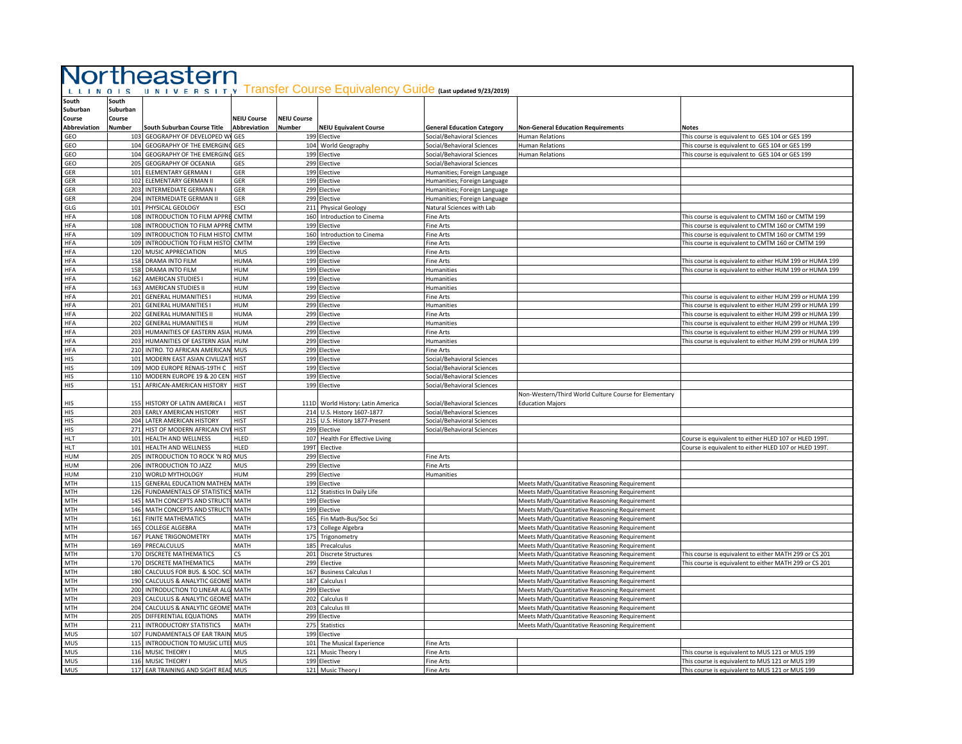|                          |                   | Northeastern                                                     |                     |                    |                                                                                |                                                            |                                                                                                |                                                                                                                    |
|--------------------------|-------------------|------------------------------------------------------------------|---------------------|--------------------|--------------------------------------------------------------------------------|------------------------------------------------------------|------------------------------------------------------------------------------------------------|--------------------------------------------------------------------------------------------------------------------|
|                          |                   |                                                                  |                     |                    |                                                                                |                                                            |                                                                                                |                                                                                                                    |
| L L I N O I S            |                   |                                                                  |                     |                    | U N I V E R S I T Y Transfer Course Equivalency Guide (Last updated 9/23/2019) |                                                            |                                                                                                |                                                                                                                    |
| South<br>Suburban        | South<br>Suburban |                                                                  |                     |                    |                                                                                |                                                            |                                                                                                |                                                                                                                    |
| Course                   | Course            |                                                                  | <b>NEIU Course</b>  | <b>NEIU Course</b> |                                                                                |                                                            |                                                                                                |                                                                                                                    |
| <b>Abbreviation</b>      | <b>Number</b>     | South Suburban Course Title                                      | Abbreviation        | Number             | <b>NEIU Equivalent Course</b>                                                  | <b>General Education Category</b>                          | <b>Non-General Education Requirements</b>                                                      | <b>Notes</b>                                                                                                       |
| GEO                      | 103               | GEOGRAPHY OF DEVELOPED W                                         | GES                 |                    | 199 Elective                                                                   | Social/Behavioral Sciences                                 | Human Relations                                                                                | This course is equivalent to GES 104 or GES 199                                                                    |
| GEO                      |                   | 104 GEOGRAPHY OF THE EMERGIN                                     | GES                 | 104                | World Geography                                                                | Social/Behavioral Sciences                                 | Human Relations                                                                                | This course is equivalent to GES 104 or GES 199                                                                    |
| GEO                      |                   | 104 GEOGRAPHY OF THE EMERGIN                                     | GES                 | 199                | Elective                                                                       | Social/Behavioral Sciences                                 | <b>Human Relations</b>                                                                         | This course is equivalent to GES 104 or GES 199                                                                    |
| GEO<br>GER               |                   | 205 GEOGRAPHY OF OCEANIA<br>101 ELEMENTARY GERMAN I              | GES<br>GER          | 299                | Elective<br>199 Elective                                                       | Social/Behavioral Sciences<br>Humanities; Foreign Language |                                                                                                |                                                                                                                    |
| GER                      |                   | 102 ELEMENTARY GERMAN II                                         | GER                 |                    | 199 Elective                                                                   | Humanities; Foreign Language                               |                                                                                                |                                                                                                                    |
| GER                      |                   | 203 INTERMEDIATE GERMAN I                                        | GER                 | 299                | Elective                                                                       | Humanities; Foreign Language                               |                                                                                                |                                                                                                                    |
| <b>GER</b>               |                   | 204 INTERMEDIATE GERMAN II                                       | GER                 |                    | 299 Elective                                                                   | Humanities; Foreign Language                               |                                                                                                |                                                                                                                    |
| GLG                      |                   | 101 PHYSICAL GEOLOGY                                             | <b>ESCI</b>         | 211                | <b>Physical Geology</b>                                                        | Natural Sciences with Lab                                  |                                                                                                |                                                                                                                    |
| <b>HFA</b>               |                   | 108 INTRODUCTION TO FILM APPR                                    | CMTM                | 160                | Introduction to Cinema                                                         | <b>Fine Arts</b>                                           |                                                                                                | This course is equivalent to CMTM 160 or CMTM 199                                                                  |
| <b>HFA</b>               |                   | 108 INTRODUCTION TO FILM APPRE                                   | CMTM                | 199                | Flective                                                                       | <b>Fine Arts</b>                                           |                                                                                                | This course is equivalent to CMTM 160 or CMTM 199                                                                  |
| HFA<br><b>HFA</b>        |                   | 109 INTRODUCTION TO FILM HISTO<br>109 INTRODUCTION TO FILM HISTO | CMTM<br>CMTM        | 160<br>199         | Introduction to Cinema<br>Elective                                             | Fine Arts<br>Fine Arts                                     |                                                                                                | This course is equivalent to CMTM 160 or CMTM 199<br>This course is equivalent to CMTM 160 or CMTM 199             |
| <b>HFA</b>               |                   | 120 MUSIC APPRECIATION                                           | MUS                 | 199                | Elective                                                                       | Fine Arts                                                  |                                                                                                |                                                                                                                    |
| <b>HFA</b>               |                   | 158 DRAMA INTO FILM                                              | <b>HUMA</b>         |                    | 199 Elective                                                                   | Fine Arts                                                  |                                                                                                | This course is equivalent to either HUM 199 or HUMA 199                                                            |
| <b>HFA</b>               |                   | 158 DRAMA INTO FILM                                              | <b>HUM</b>          |                    | 199 Elective                                                                   | Humanities                                                 |                                                                                                | This course is equivalent to either HUM 199 or HUMA 199                                                            |
| <b>HFA</b>               |                   | 162 AMERICAN STUDIES                                             | HUM                 |                    | 199 Elective                                                                   | Humanities                                                 |                                                                                                |                                                                                                                    |
| <b>HFA</b>               |                   | 163 AMERICAN STUDIES II                                          | HUM                 | 199                | Elective                                                                       | Humanities                                                 |                                                                                                |                                                                                                                    |
| <b>HFA</b>               |                   | 201 GENERAL HUMANITIES I                                         | <b>HUMA</b>         | 299                | Elective                                                                       | Fine Arts                                                  |                                                                                                | This course is equivalent to either HUM 299 or HUMA 199                                                            |
| <b>HFA</b>               |                   | 201 GENERAL HUMANITIES I                                         | HUM                 |                    | 299 Elective                                                                   | Humanities                                                 |                                                                                                | This course is equivalent to either HUM 299 or HUMA 199                                                            |
| HFA<br><b>HFA</b>        |                   | 202 GENERAL HUMANITIES I<br>202 GENERAL HUMANITIES II            | <b>HUMA</b><br>HUM  | 299                | 299 Elective<br>Elective                                                       | Fine Arts<br>Humanities                                    |                                                                                                | This course is equivalent to either HUM 299 or HUMA 199<br>This course is equivalent to either HUM 299 or HUMA 199 |
| <b>HFA</b>               |                   | 203 HUMANITIES OF EASTERN ASIA                                   | <b>HUMA</b>         | 299                | Elective                                                                       | Fine Arts                                                  |                                                                                                | This course is equivalent to either HUM 299 or HUMA 199                                                            |
| <b>HFA</b>               |                   | 203 HUMANITIES OF EASTERN ASIA                                   | HUM                 | 299                | <b>Elective</b>                                                                | <b>Humanities</b>                                          |                                                                                                | This course is equivalent to either HUM 299 or HUMA 199                                                            |
| <b>HFA</b>               |                   | 210 INTRO. TO AFRICAN AMERICAN                                   | MUS                 | 299                | Elective                                                                       | Fine Arts                                                  |                                                                                                |                                                                                                                    |
| HIS                      |                   | 101 MODERN EAST ASIAN CIVILIZAT                                  | <b>HIST</b>         | 199                | Elective                                                                       | Social/Behavioral Sciences                                 |                                                                                                |                                                                                                                    |
| HIS                      |                   | 109 MOD EUROPE RENAIS-19TH C                                     | <b>HIST</b>         |                    | 199 Elective                                                                   | Social/Behavioral Sciences                                 |                                                                                                |                                                                                                                    |
| HIS                      |                   | 110 MODERN EUROPE 19 & 20 CEN                                    | <b>HIST</b>         |                    | 199 Elective                                                                   | Social/Behavioral Sciences                                 |                                                                                                |                                                                                                                    |
| HIS                      |                   | 151 AFRICAN-AMERICAN HISTORY                                     | <b>HIST</b>         |                    | 199 Elective                                                                   | Social/Behavioral Sciences                                 | Non-Western/Third World Culture Course for Elementary                                          |                                                                                                                    |
| HIS                      |                   | 155 HISTORY OF LATIN AMERICA I                                   | HIST                | 111D               | World History: Latin America                                                   | Social/Behavioral Sciences                                 | <b>Education Majors</b>                                                                        |                                                                                                                    |
| HIS                      |                   | 203 EARLY AMERICAN HISTORY                                       | <b>HIST</b>         |                    | 214 U.S. History 1607-1877                                                     | Social/Behavioral Sciences                                 |                                                                                                |                                                                                                                    |
| HIS                      |                   | 204 LATER AMERICAN HISTORY                                       | <b>HIST</b>         | 215                | U.S. History 1877-Present                                                      | Social/Behavioral Sciences                                 |                                                                                                |                                                                                                                    |
| HIS                      |                   | 271 HIST OF MODERN AFRICAN CIV                                   | <b>HIST</b>         | 299                | Elective                                                                       | Social/Behavioral Sciences                                 |                                                                                                |                                                                                                                    |
| <b>HLT</b>               |                   | 101 HEALTH AND WELLNESS                                          | HLFD                | 107                | Health For Effective Living                                                    |                                                            |                                                                                                | Course is equivalent to either HLED 107 or HLED 199T.                                                              |
| <b>HLT</b>               |                   | 101 HEALTH AND WELLNESS                                          | HLED                | 199T               | Elective                                                                       |                                                            |                                                                                                | Course is equivalent to either HLED 107 or HLED 199T                                                               |
| <b>HUM</b><br><b>HUM</b> |                   | 205 INTRODUCTION TO ROCK 'N RO<br>206 INTRODUCTION TO JAZZ       | MUS<br><b>MUS</b>   | 299<br>299         | Elective<br>Elective                                                           | Fine Arts<br>Fine Arts                                     |                                                                                                |                                                                                                                    |
| <b>HUM</b>               |                   | 210 WORLD MYTHOLOGY                                              | HUM                 | 299                | Elective                                                                       | <b>Humanities</b>                                          |                                                                                                |                                                                                                                    |
| <b>MTH</b>               |                   | 115 GENERAL EDUCATION MATHER                                     | MATH                | 199                | Elective                                                                       |                                                            | Meets Math/Quantitative Reasoning Requirement                                                  |                                                                                                                    |
| <b>MTH</b>               |                   | 126 FUNDAMENTALS OF STATISTIC                                    | <b>MATH</b>         | 112                | <b>Statistics In Daily Life</b>                                                |                                                            | Meets Math/Quantitative Reasoning Requirement                                                  |                                                                                                                    |
| <b>MTH</b>               |                   | 145 MATH CONCEPTS AND STRUCT                                     | MATH                |                    | 199 Elective                                                                   |                                                            | Meets Math/Quantitative Reasoning Requirement                                                  |                                                                                                                    |
| <b>MTH</b>               |                   | 146 MATH CONCEPTS AND STRUCT                                     | MATH                |                    | 199 Elective                                                                   |                                                            | Meets Math/Quantitative Reasoning Requirement                                                  |                                                                                                                    |
| MTH                      |                   | 161 FINITE MATHEMATICS                                           | MATH                | 165                | Fin Math-Bus/Soc Sci                                                           |                                                            | Meets Math/Quantitative Reasoning Requirement                                                  |                                                                                                                    |
| MTH                      | 165               | <b>COLLEGE ALGEBRA</b>                                           | MATH                | 173                | College Algebra                                                                |                                                            | Meets Math/Quantitative Reasoning Requirement                                                  |                                                                                                                    |
| <b>MTH</b><br>MTH        |                   | 167 PLANE TRIGONOMETRY<br>169 PRECALCULUS                        | <b>MATH</b><br>MATH | 175<br>185         | Trigonometry<br>Precalculus                                                    |                                                            | Meets Math/Quantitative Reasoning Requirement<br>Meets Math/Quantitative Reasoning Requirement |                                                                                                                    |
| <b>MTH</b>               |                   | 170 DISCRETE MATHEMATICS                                         | CS                  | 201                | <b>Discrete Structures</b>                                                     |                                                            | Meets Math/Quantitative Reasoning Requirement                                                  | This course is equivalent to either MATH 299 or CS 201                                                             |
| MTH                      |                   | 170 DISCRETE MATHEMATICS                                         | MATH                | 299                | Elective                                                                       |                                                            | Meets Math/Quantitative Reasoning Requirement                                                  | This course is equivalent to either MATH 299 or CS 201                                                             |
| MTH                      |                   | 180 CALCULUS FOR BUS. & SOC. SO                                  | MATH                | 167                | <b>Business Calculus I</b>                                                     |                                                            | Meets Math/Quantitative Reasoning Requirement                                                  |                                                                                                                    |
| <b>MTH</b>               |                   | 190 CALCULUS & ANALYTIC GEOME                                    | MATH                | 187                | Calculus I                                                                     |                                                            | Meets Math/Quantitative Reasoning Requirement                                                  |                                                                                                                    |
| MTH                      |                   | 200 INTRODUCTION TO LINEAR ALO                                   | MATH                | 299                | Elective                                                                       |                                                            | Meets Math/Quantitative Reasoning Requirement                                                  |                                                                                                                    |
| MTH                      |                   | 203 CALCULUS & ANALYTIC GEOME                                    | MATH                | 202                | Calculus II                                                                    |                                                            | Meets Math/Quantitative Reasoning Requirement                                                  |                                                                                                                    |
| <b>MTH</b>               |                   | 204 CALCULUS & ANALYTIC GEOME                                    | MATH                | 203                | Calculus III                                                                   |                                                            | Meets Math/Quantitative Reasoning Requirement                                                  |                                                                                                                    |
| MTH<br>MTH               |                   | 205 DIFFERENTIAL EQUATIONS<br>211 INTRODUCTORY STATISTICS        | MATH<br>MATH        | 275                | 299 Elective<br><b>Statistics</b>                                              |                                                            | Meets Math/Quantitative Reasoning Requirement<br>Meets Math/Quantitative Reasoning Requirement |                                                                                                                    |
| <b>MUS</b>               |                   | 107 FUNDAMENTALS OF EAR TRAIN                                    | MUS                 | 199                | Elective                                                                       |                                                            |                                                                                                |                                                                                                                    |
| <b>MUS</b>               |                   | 115 INTRODUCTION TO MUSIC LITE                                   | MUS                 | 101                | The Musical Experience                                                         | Fine Arts                                                  |                                                                                                |                                                                                                                    |
| <b>MUS</b>               |                   | 116 MUSIC THEORY I                                               | MUS                 | 121                | Music Theory I                                                                 | Fine Arts                                                  |                                                                                                | This course is equivalent to MUS 121 or MUS 199                                                                    |
| <b>MUS</b>               |                   | 116 MUSIC THEORY I                                               | <b>MUS</b>          |                    | 199 Elective                                                                   | Fine Arts                                                  |                                                                                                | This course is equivalent to MUS 121 or MUS 199                                                                    |
| MUS                      |                   | 117 EAR TRAINING AND SIGHT REAL MUS                              |                     |                    | 121 Music Theory I                                                             | Fine Arts                                                  |                                                                                                | This course is equivalent to MUS 121 or MUS 199                                                                    |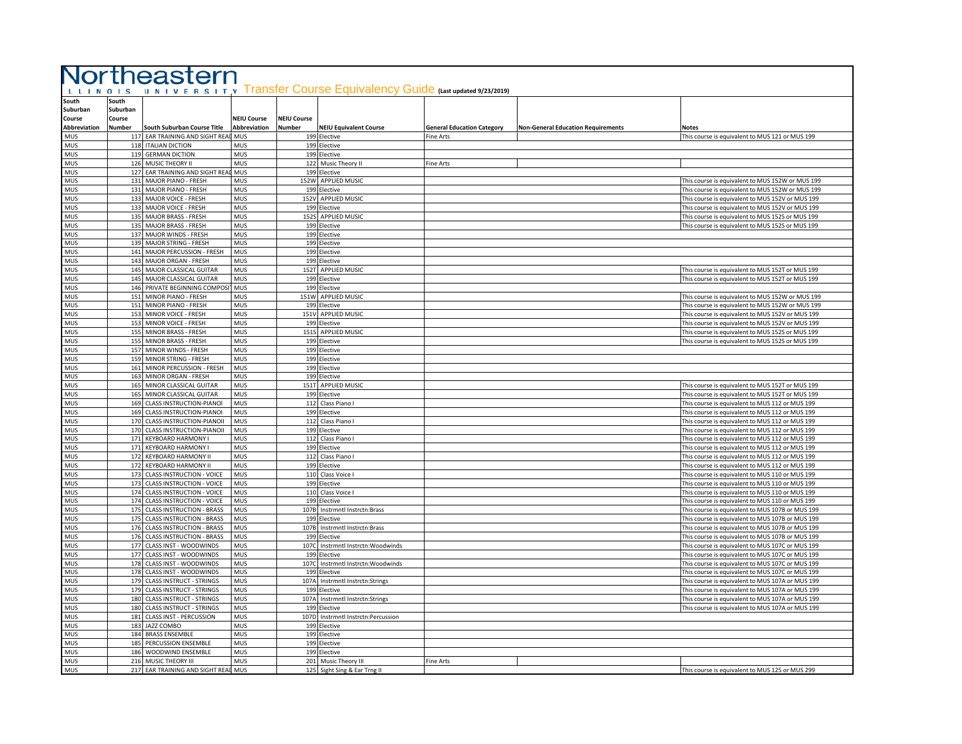| L L I N O I S                                      |                                       | Northeastern                                                   |                                    |                              | U N I V E R S I T Y Transfer Course Equivalency Guide (Last updated 9/23/2019) |                                   |                                           |                                                                                                      |
|----------------------------------------------------|---------------------------------------|----------------------------------------------------------------|------------------------------------|------------------------------|--------------------------------------------------------------------------------|-----------------------------------|-------------------------------------------|------------------------------------------------------------------------------------------------------|
| South<br>Suburban<br>Course<br><b>Abbreviation</b> | South<br>Suburban<br>Course<br>Number | South Suburban Course Title                                    | <b>NEIU Course</b><br>Abbreviation | <b>NEIU Course</b><br>Number | <b>NEIU Equivalent Course</b>                                                  | <b>General Education Category</b> | <b>Non-General Education Requirements</b> | <b>Notes</b>                                                                                         |
| <b>MUS</b>                                         |                                       | 117 EAR TRAINING AND SIGHT REAL MUS                            |                                    |                              | 199 Elective                                                                   | Fine Arts                         |                                           | This course is equivalent to MUS 121 or MUS 199                                                      |
| <b>MUS</b>                                         |                                       | 118 ITALIAN DICTION                                            | MUS                                |                              | 199 Elective                                                                   |                                   |                                           |                                                                                                      |
| <b>MUS</b>                                         |                                       | 119 GERMAN DICTION                                             | MUS                                |                              | 199 Elective                                                                   |                                   |                                           |                                                                                                      |
| <b>MUS</b>                                         |                                       | 126 MUSIC THEORY II                                            | <b>MUS</b>                         |                              | 122 Music Theory II                                                            | Fine Arts                         |                                           |                                                                                                      |
| <b>MUS</b>                                         |                                       | 127 EAR TRAINING AND SIGHT REAL MUS                            |                                    |                              | 199 Elective                                                                   |                                   |                                           |                                                                                                      |
| <b>MUS</b>                                         |                                       | 131 MAJOR PIANO - FRESH                                        | <b>MUS</b>                         |                              | 152W APPLIED MUSIC                                                             |                                   |                                           | This course is equivalent to MUS 152W or MUS 199                                                     |
| MUS                                                |                                       | 131 MAJOR PIANO - FRESH                                        | MUS                                |                              | 199 Elective                                                                   |                                   |                                           | This course is equivalent to MUS 152W or MUS 199                                                     |
| <b>MUS</b>                                         |                                       | 133 MAJOR VOICE - FRESH                                        | MUS                                | 152V                         | APPLIED MUSIC                                                                  |                                   |                                           | This course is equivalent to MUS 152V or MUS 199                                                     |
| <b>MUS</b>                                         |                                       | 133 MAJOR VOICE - FRESH                                        | <b>MUS</b>                         |                              | 199 Elective                                                                   |                                   |                                           | This course is equivalent to MUS 152V or MUS 199                                                     |
| <b>MUS</b><br><b>MUS</b>                           |                                       | 135 MAJOR BRASS - FRESH<br>135 MAJOR BRASS - FRESH             | MUS<br>MUS                         |                              | 152S APPLIED MUSIC<br>199 Elective                                             |                                   |                                           | This course is equivalent to MUS 152S or MUS 199<br>This course is equivalent to MUS 152S or MUS 199 |
| <b>MUS</b>                                         |                                       | 137 MAJOR WINDS - FRESH                                        | MUS                                |                              | 199 Elective                                                                   |                                   |                                           |                                                                                                      |
| <b>MUS</b>                                         |                                       | 139 MAJOR STRING - FRESH                                       | MUS                                |                              | 199 Elective                                                                   |                                   |                                           |                                                                                                      |
| <b>MUS</b>                                         |                                       | 141 MAJOR PERCUSSION - FRESH                                   | <b>MUS</b>                         |                              | 199 Elective                                                                   |                                   |                                           |                                                                                                      |
| MUS                                                |                                       | 143 MAJOR ORGAN - FRESH                                        | MUS                                |                              | 199 Elective                                                                   |                                   |                                           |                                                                                                      |
| <b>MUS</b>                                         |                                       | 145 MAJOR CLASSICAL GUITAR                                     | MUS                                | 152T                         | APPLIED MUSIC                                                                  |                                   |                                           | This course is equivalent to MUS 152T or MUS 199                                                     |
| <b>MUS</b>                                         |                                       | 145 MAJOR CLASSICAL GUITAR                                     | <b>MUS</b>                         |                              | 199 Elective                                                                   |                                   |                                           | This course is equivalent to MUS 152T or MUS 199                                                     |
| MUS                                                |                                       | 146 PRIVATE BEGINNING COMPOSI                                  | MUS                                |                              | 199 Elective                                                                   |                                   |                                           |                                                                                                      |
| <b>MUS</b>                                         |                                       | 151 MINOR PIANO - FRESH                                        | MUS                                |                              | 151W APPLIED MUSIC                                                             |                                   |                                           | This course is equivalent to MUS 152W or MUS 199                                                     |
| <b>MUS</b>                                         |                                       | 151 MINOR PIANO - FRESH                                        | <b>MUS</b>                         |                              | 199 Elective                                                                   |                                   |                                           | This course is equivalent to MUS 152W or MUS 199                                                     |
| MUS                                                |                                       | 153 MINOR VOICE - FRESH                                        | MUS                                |                              | 151V APPLIED MUSIC                                                             |                                   |                                           | This course is equivalent to MUS 152V or MUS 199                                                     |
| <b>MUS</b>                                         |                                       | 153 MINOR VOICE - FRESH                                        | <b>MUS</b>                         |                              | 199 Elective                                                                   |                                   |                                           | This course is equivalent to MUS 152V or MUS 199                                                     |
| <b>MUS</b>                                         |                                       | 155 MINOR BRASS - FRESH                                        | MUS                                | 151S                         | APPLIED MUSIC                                                                  |                                   |                                           | This course is equivalent to MUS 152S or MUS 199                                                     |
| <b>MUS</b><br><b>MUS</b>                           |                                       | 155 MINOR BRASS - FRESH                                        | MUS<br><b>MUS</b>                  |                              | 199 Elective                                                                   |                                   |                                           | This course is equivalent to MUS 152S or MUS 199                                                     |
| <b>MUS</b>                                         |                                       | 157 MINOR WINDS - FRESH<br>159 MINOR STRING - FRESH            | MUS                                |                              | 199 Elective<br>199 Elective                                                   |                                   |                                           |                                                                                                      |
| <b>MUS</b>                                         |                                       | 161 MINOR PERCUSSION - FRESH                                   | MUS                                |                              | 199 Elective                                                                   |                                   |                                           |                                                                                                      |
| MUS                                                |                                       | 163 MINOR ORGAN - FRESH                                        | MUS                                |                              | 199 Elective                                                                   |                                   |                                           |                                                                                                      |
| <b>MUS</b>                                         |                                       | 165 MINOR CLASSICAL GUITAR                                     | MUS                                |                              | 151T APPLIED MUSIC                                                             |                                   |                                           | This course is equivalent to MUS 152T or MUS 199                                                     |
| <b>MUS</b>                                         |                                       | 165 MINOR CLASSICAL GUITAR                                     | <b>MUS</b>                         |                              | 199 Elective                                                                   |                                   |                                           | This course is equivalent to MUS 152T or MUS 199                                                     |
| <b>MUS</b>                                         |                                       | 169 CLASS INSTRUCTION-PIANOI                                   | MUS                                |                              | 112 Class Piano I                                                              |                                   |                                           | This course is equivalent to MUS 112 or MUS 199                                                      |
| <b>MUS</b>                                         |                                       | 169 CLASS INSTRUCTION-PIANOI                                   | MUS                                |                              | 199 Elective                                                                   |                                   |                                           | This course is equivalent to MUS 112 or MUS 199                                                      |
| <b>MUS</b>                                         |                                       | 170 CLASS INSTRUCTION-PIANOII                                  | MUS                                |                              | 112 Class Piano I                                                              |                                   |                                           | This course is equivalent to MUS 112 or MUS 199                                                      |
| <b>MUS</b>                                         |                                       | 170 CLASS INSTRUCTION-PIANOII                                  | MUS                                |                              | 199 Elective                                                                   |                                   |                                           | This course is equivalent to MUS 112 or MUS 199                                                      |
| <b>MUS</b>                                         |                                       | 171 KEYBOARD HARMONY I                                         | <b>MUS</b>                         |                              | 112 Class Piano I                                                              |                                   |                                           | This course is equivalent to MUS 112 or MUS 199                                                      |
| <b>MUS</b>                                         |                                       | 171 KEYBOARD HARMONY I                                         | MUS                                |                              | 199 Elective                                                                   |                                   |                                           | This course is equivalent to MUS 112 or MUS 199                                                      |
| <b>MUS</b>                                         |                                       | 172 KEYBOARD HARMONY II                                        | MUS                                |                              | 112 Class Piano I                                                              |                                   |                                           | This course is equivalent to MUS 112 or MUS 199                                                      |
| <b>MUS</b>                                         |                                       | 172 KEYBOARD HARMONY II                                        | <b>MUS</b>                         |                              | 199 Elective                                                                   |                                   |                                           | This course is equivalent to MUS 112 or MUS 199                                                      |
| <b>MUS</b>                                         |                                       | 173 CLASS INSTRUCTION - VOICE                                  | MUS                                | 110                          | Class Voice                                                                    |                                   |                                           | This course is equivalent to MUS 110 or MUS 199                                                      |
| <b>MUS</b><br><b>MUS</b>                           |                                       | 173 CLASS INSTRUCTION - VOICE<br>174 CLASS INSTRUCTION - VOICE | MUS<br>MUS                         |                              | 199 Elective<br>110 Class Voice I                                              |                                   |                                           | This course is equivalent to MUS 110 or MUS 199<br>This course is equivalent to MUS 110 or MUS 199   |
| <b>MUS</b>                                         |                                       | 174 CLASS INSTRUCTION - VOICE                                  | MUS                                |                              | 199 Elective                                                                   |                                   |                                           | This course is equivalent to MUS 110 or MUS 199                                                      |
| <b>MUS</b>                                         |                                       | 175 CLASS INSTRUCTION - BRASS                                  | <b>MUS</b>                         | 107B                         | Instrmntl Instrctn:Brass                                                       |                                   |                                           | This course is equivalent to MUS 107B or MUS 199                                                     |
| MUS                                                |                                       | 175 CLASS INSTRUCTION - BRASS                                  | MUS                                |                              | 199 Elective                                                                   |                                   |                                           | This course is equivalent to MUS 107B or MUS 199                                                     |
| <b>MUS</b>                                         |                                       | 176 CLASS INSTRUCTION - BRASS                                  | MUS                                | 107B                         | Instrmntl Instrctn:Brass                                                       |                                   |                                           | This course is equivalent to MUS 107B or MUS 199                                                     |
| <b>MUS</b>                                         |                                       | 176 CLASS INSTRUCTION - BRASS                                  | <b>MUS</b>                         | 199                          | Flective                                                                       |                                   |                                           | This course is equivalent to MUS 107B or MUS 199                                                     |
| <b>MUS</b>                                         |                                       | 177 CLASS INST - WOODWINDS                                     | MUS                                | 107C                         | Instrmntl Instrctn: Woodwinds                                                  |                                   |                                           | This course is equivalent to MUS 107C or MUS 199                                                     |
| <b>MUS</b>                                         |                                       | 177 CLASS INST - WOODWINDS                                     | MUS                                | 199                          | Elective                                                                       |                                   |                                           | This course is equivalent to MUS 107C or MUS 199                                                     |
| <b>MUS</b>                                         |                                       | 178 CLASS INST - WOODWINDS                                     | MUS                                | 1070                         | Instrmntl Instrctn:Woodwinds                                                   |                                   |                                           | This course is equivalent to MUS 107C or MUS 199                                                     |
| <b>MUS</b>                                         |                                       | 178 CLASS INST - WOODWINDS                                     | MUS                                | 199                          | Elective                                                                       |                                   |                                           | This course is equivalent to MUS 107C or MUS 199                                                     |
| <b>MUS</b>                                         |                                       | 179 CLASS INSTRUCT - STRINGS                                   | <b>MUS</b>                         | 107A                         | Instrmntl Instrctn:Strings                                                     |                                   |                                           | This course is equivalent to MUS 107A or MUS 199                                                     |
| <b>MUS</b>                                         |                                       | 179 CLASS INSTRUCT - STRINGS                                   | MUS                                |                              | 199 Elective                                                                   |                                   |                                           | This course is equivalent to MUS 107A or MUS 199                                                     |
| <b>MUS</b>                                         |                                       | 180 CLASS INSTRUCT - STRINGS                                   | MUS                                | 107A                         | Instrmntl Instrctn:Strings                                                     |                                   |                                           | This course is equivalent to MUS 107A or MUS 199                                                     |
| <b>MUS</b>                                         |                                       | 180 CLASS INSTRUCT - STRINGS                                   | MUS                                |                              | 199 Elective                                                                   |                                   |                                           | This course is equivalent to MUS 107A or MUS 199                                                     |
| MUS<br><b>MUS</b>                                  |                                       | 181 CLASS INST - PERCUSSION<br>183 JAZZ COMBO                  | MUS<br><b>MUS</b>                  | 107D                         | Instrmntl Instrctn:Percussion<br>199 Elective                                  |                                   |                                           |                                                                                                      |
| <b>MUS</b>                                         |                                       | 184 BRASS ENSEMBLE                                             | MUS                                |                              | 199 Elective                                                                   |                                   |                                           |                                                                                                      |
| <b>MUS</b>                                         |                                       | 185 PERCUSSION ENSEMBLE                                        | MUS                                |                              | 199 Elective                                                                   |                                   |                                           |                                                                                                      |
| <b>MUS</b>                                         |                                       | 186 WOODWIND ENSEMBLE                                          | <b>MUS</b>                         |                              | 199 Elective                                                                   |                                   |                                           |                                                                                                      |
| MUS                                                |                                       | 216 MUSIC THEORY III                                           | MUS                                |                              | 201 Music Theory III                                                           | Fine Arts                         |                                           |                                                                                                      |
| <b>MUS</b>                                         |                                       | 217 EAR TRAINING AND SIGHT REAL MUS                            |                                    |                              | 125 Sight Sing & Ear Trng II                                                   |                                   |                                           | This course is equivalent to MUS 125 or MUS 299                                                      |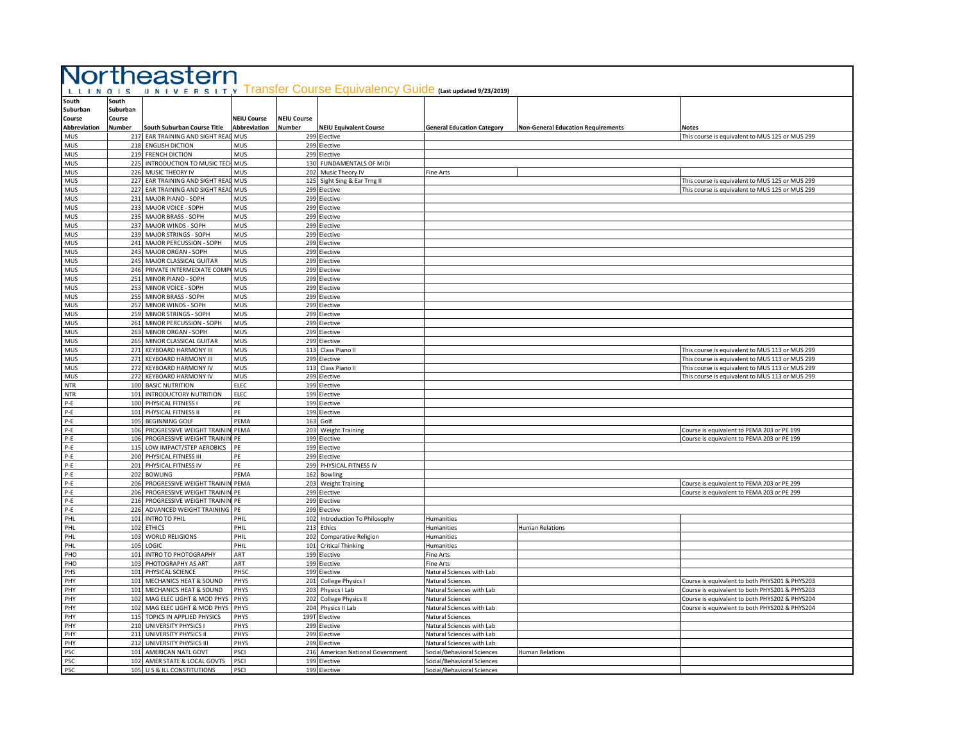|                                         |                             | Northeastern                                                     |                    |                    |                                                                       |                                                          |                                           |                                                                                                  |
|-----------------------------------------|-----------------------------|------------------------------------------------------------------|--------------------|--------------------|-----------------------------------------------------------------------|----------------------------------------------------------|-------------------------------------------|--------------------------------------------------------------------------------------------------|
| LLINOIS<br>South<br>Suburban<br>Course  | South<br>Suburban<br>Course |                                                                  | <b>NEIU Course</b> | <b>NEIU Course</b> | UNIVERSITY Transfer Course Equivalency Guide (Last updated 9/23/2019) |                                                          |                                           |                                                                                                  |
| Abbreviation                            | Number                      | South Suburban Course Title                                      | Abbreviation       | Number             | <b>NEIU Equivalent Course</b>                                         | <b>General Education Category</b>                        | <b>Non-General Education Requirements</b> | Notes                                                                                            |
| <b>MUS</b><br>MUS                       |                             | 217 EAR TRAINING AND SIGHT REAL MUS<br>218 ENGLISH DICTION       | MUS                |                    | 299 Elective<br>299 Elective                                          |                                                          |                                           | This course is equivalent to MUS 125 or MUS 299                                                  |
| MUS                                     |                             | 219 FRENCH DICTION                                               | MUS                |                    | 299 Elective                                                          |                                                          |                                           |                                                                                                  |
| <b>MUS</b>                              |                             | 225 INTRODUCTION TO MUSIC TEC                                    | <b>MUS</b>         |                    | 130 FUNDAMENTALS OF MIDI                                              |                                                          |                                           |                                                                                                  |
| MUS                                     |                             | 226 MUSIC THEORY IV                                              | MUS                |                    | 202 Music Theory IV                                                   | Fine Arts                                                |                                           |                                                                                                  |
| <b>MUS</b>                              |                             | 227 EAR TRAINING AND SIGHT REAL                                  | MUS                |                    | 125 Sight Sing & Ear Trng II                                          |                                                          |                                           | This course is equivalent to MUS 125 or MUS 299                                                  |
| <b>MUS</b>                              |                             | 227 EAR TRAINING AND SIGHT READ                                  | <b>MUS</b>         |                    | 299 Elective                                                          |                                                          |                                           | This course is equivalent to MUS 125 or MUS 299                                                  |
| <b>MUS</b>                              |                             | 231 MAJOR PIANO - SOPH                                           | MUS                |                    | 299 Elective                                                          |                                                          |                                           |                                                                                                  |
| <b>MUS</b>                              |                             | 233 MAJOR VOICE - SOPH                                           | MUS                |                    | 299 Elective                                                          |                                                          |                                           |                                                                                                  |
| <b>MUS</b><br><b>MUS</b>                |                             | 235 MAJOR BRASS - SOPH<br>237 MAJOR WINDS - SOPH                 | MUS<br>MUS         |                    | 299 Elective<br>299 Elective                                          |                                                          |                                           |                                                                                                  |
| <b>MUS</b>                              |                             | 239 MAJOR STRINGS - SOPH                                         | <b>MUS</b>         |                    | 299 Elective                                                          |                                                          |                                           |                                                                                                  |
| MUS                                     |                             | 241 MAJOR PERCUSSION - SOPH                                      | MUS                |                    | 299 Elective                                                          |                                                          |                                           |                                                                                                  |
| <b>MUS</b>                              |                             | 243 MAJOR ORGAN - SOPH                                           | MUS                |                    | 299 Elective                                                          |                                                          |                                           |                                                                                                  |
| <b>MUS</b>                              |                             | 245 MAJOR CLASSICAL GUITAR                                       | <b>MUS</b>         |                    | 299 Elective                                                          |                                                          |                                           |                                                                                                  |
| MUS                                     |                             | 246 PRIVATE INTERMEDIATE COMP                                    | MUS                |                    | 299 Elective                                                          |                                                          |                                           |                                                                                                  |
| MUS                                     |                             | 251 MINOR PIANO - SOPH                                           | MUS                |                    | 299 Elective                                                          |                                                          |                                           |                                                                                                  |
| MUS                                     |                             | 253 MINOR VOICE - SOPH                                           | MUS                |                    | 299 Elective                                                          |                                                          |                                           |                                                                                                  |
| MUS                                     |                             | 255 MINOR BRASS - SOPH                                           | MUS                |                    | 299 Elective                                                          |                                                          |                                           |                                                                                                  |
| <b>MUS</b><br><b>MUS</b>                |                             | 257 MINOR WINDS - SOPH<br>259 MINOR STRINGS - SOPH               | MUS<br><b>MUS</b>  |                    | 299 Elective<br>299 Elective                                          |                                                          |                                           |                                                                                                  |
| <b>MUS</b>                              |                             | 261 MINOR PERCUSSION - SOPH                                      | MUS                |                    | 299 Elective                                                          |                                                          |                                           |                                                                                                  |
| <b>MUS</b>                              |                             | 263 MINOR ORGAN - SOPH                                           | MUS                |                    | 299 Elective                                                          |                                                          |                                           |                                                                                                  |
| <b>MUS</b>                              |                             | 265 MINOR CLASSICAL GUITAR                                       | MUS                |                    | 299 Elective                                                          |                                                          |                                           |                                                                                                  |
| MUS                                     |                             | 271 KEYBOARD HARMONY III                                         | MUS                | 113                | Class Piano II                                                        |                                                          |                                           | This course is equivalent to MUS 113 or MUS 299                                                  |
| <b>MUS</b>                              |                             | 271 KEYBOARD HARMONY III                                         | <b>MUS</b>         |                    | 299 Elective                                                          |                                                          |                                           | This course is equivalent to MUS 113 or MUS 299                                                  |
| <b>MUS</b>                              |                             | 272 KEYBOARD HARMONY IV                                          | MUS                | 113                | Class Piano II                                                        |                                                          |                                           | This course is equivalent to MUS 113 or MUS 299                                                  |
| <b>MUS</b>                              |                             | 272 KEYBOARD HARMONY IV                                          | MUS                |                    | 299 Elective                                                          |                                                          |                                           | This course is equivalent to MUS 113 or MUS 299                                                  |
| <b>NTR</b>                              |                             | 100 BASIC NUTRITION                                              | <b>ELEC</b>        |                    | 199 Elective                                                          |                                                          |                                           |                                                                                                  |
| <b>NTR</b>                              |                             | 101 INTRODUCTORY NUTRITION                                       | <b>ELEC</b><br>PE  |                    | 199 Elective                                                          |                                                          |                                           |                                                                                                  |
| P-E<br>$P-E$                            |                             | 100 PHYSICAL FITNESS I<br>101 PHYSICAL FITNESS II                | PE                 |                    | 199 Elective<br>199 Elective                                          |                                                          |                                           |                                                                                                  |
| P-E                                     |                             | 105 BEGINNING GOLF                                               | PEMA               |                    | 163 Golf                                                              |                                                          |                                           |                                                                                                  |
| $\mathsf{P}\text{-}\mathsf{E}$          |                             | 106 PROGRESSIVE WEIGHT TRAININ                                   | PEMA               |                    | 203 Weight Training                                                   |                                                          |                                           | Course is equivalent to PEMA 203 or PE 199                                                       |
| $\mathsf{P}\text{-}\mathsf{E}$          |                             | 106 PROGRESSIVE WEIGHT TRAININ                                   | PE                 |                    | 199 Elective                                                          |                                                          |                                           | Course is equivalent to PEMA 203 or PE 199                                                       |
| $P-E$                                   |                             | 115 LOW IMPACT/STEP AEROBICS                                     | PF                 |                    | 199 Elective                                                          |                                                          |                                           |                                                                                                  |
| $\mathsf{P}\text{-}\mathsf{E}$          |                             | 200 PHYSICAL FITNESS III                                         | PF                 |                    | 299 Elective                                                          |                                                          |                                           |                                                                                                  |
| $P-E$                                   |                             | 201 PHYSICAL FITNESS IV                                          | PE                 |                    | 299 PHYSICAL FITNESS IV                                               |                                                          |                                           |                                                                                                  |
| $P-E$                                   |                             | 202 BOWLING                                                      | PEMA               |                    | 162 Bowling                                                           |                                                          |                                           |                                                                                                  |
| $\mathsf{P}\text{-}\mathsf{E}$<br>$P-E$ |                             | 206 PROGRESSIVE WEIGHT TRAININ<br>206 PROGRESSIVE WEIGHT TRAININ | PEMA<br>PE         | 299                | 203 Weight Training<br>Elective                                       |                                                          |                                           | Course is equivalent to PEMA 203 or PE 299<br>Course is equivalent to PEMA 203 or PE 299         |
| $P-E$                                   |                             | 216 PROGRESSIVE WEIGHT TRAININ PE                                |                    |                    | 299 Elective                                                          |                                                          |                                           |                                                                                                  |
| $P-E$                                   |                             | 226 ADVANCED WEIGHT TRAINING                                     | PE                 |                    | 299 Elective                                                          |                                                          |                                           |                                                                                                  |
| PHL                                     |                             | 101 INTRO TO PHIL                                                | PHIL               |                    | 102 Introduction To Philosophy                                        | Humanities                                               |                                           |                                                                                                  |
| PHL                                     |                             | 102 ETHICS                                                       | PHIL               |                    | 213 Ethics                                                            | Humanities                                               | <b>Human Relations</b>                    |                                                                                                  |
| PHL                                     |                             | 103 WORLD RELIGIONS                                              | PHIL               | 202                | <b>Comparative Religion</b>                                           | Humanities                                               |                                           |                                                                                                  |
| PHL                                     |                             | 105 LOGIC                                                        | PHIL               | 101                | <b>Critical Thinking</b>                                              | Humanities                                               |                                           |                                                                                                  |
| PHO                                     |                             | 101 INTRO TO PHOTOGRAPHY                                         | ART                |                    | 199 Elective                                                          | Fine Arts                                                |                                           |                                                                                                  |
| PHO                                     |                             | 103 PHOTOGRAPHY AS ART                                           | ART                |                    | 199 Elective                                                          | Fine Arts                                                |                                           |                                                                                                  |
| PHS<br>PHY                              |                             | 101 PHYSICAL SCIENCE<br>101 MECHANICS HEAT & SOUND               | PHSC<br>PHYS       |                    | 199 Elective                                                          | Natural Sciences with Lab                                |                                           |                                                                                                  |
| PHY                                     |                             | 101 MECHANICS HEAT & SOUND                                       | PHYS               |                    | 201 College Physics I<br>203 Physics I Lab                            | <b>Natural Sciences</b><br>Natural Sciences with Lab     |                                           | Course is equivalent to both PHYS201 & PHYS203<br>Course is equivalent to both PHYS201 & PHYS203 |
| PHY                                     |                             | 102 MAG ELEC LIGHT & MOD PHYS                                    | PHYS               |                    | 202 College Physics II                                                | Natural Sciences                                         |                                           | Course is equivalent to both PHYS202 & PHYS204                                                   |
| PHY                                     |                             | 102 MAG ELEC LIGHT & MOD PHYS                                    | PHYS               |                    | 204 Physics II Lab                                                    | Natural Sciences with Lab                                |                                           | Course is equivalent to both PHYS202 & PHYS204                                                   |
| PHY                                     |                             | 115 TOPICS IN APPLIED PHYSICS                                    | PHYS               |                    | 199T Elective                                                         | Natural Sciences                                         |                                           |                                                                                                  |
| PHY                                     |                             | 210 UNIVERSITY PHYSICS I                                         | PHYS               |                    | 299 Elective                                                          | Natural Sciences with Lab                                |                                           |                                                                                                  |
| PHY                                     |                             | 211 UNIVERSITY PHYSICS II                                        | PHYS               |                    | 299 Elective                                                          | Natural Sciences with Lab                                |                                           |                                                                                                  |
| PHY                                     |                             | 212 UNIVERSITY PHYSICS III                                       | PHYS               | 299                | Elective                                                              | Natural Sciences with Lab                                |                                           |                                                                                                  |
| PSC                                     |                             | 101 AMERICAN NATL GOVT                                           | PSCI               | 216                | American National Government                                          | Social/Behavioral Sciences                               | <b>Human Relations</b>                    |                                                                                                  |
| PSC<br>PSC                              |                             | 102 AMER STATE & LOCAL GOVTS<br>105 U S & ILL CONSTITUTIONS      | PSCI<br>PSCI       |                    | 199 Elective<br>199 Elective                                          | Social/Behavioral Sciences<br>Social/Behavioral Sciences |                                           |                                                                                                  |
|                                         |                             |                                                                  |                    |                    |                                                                       |                                                          |                                           |                                                                                                  |